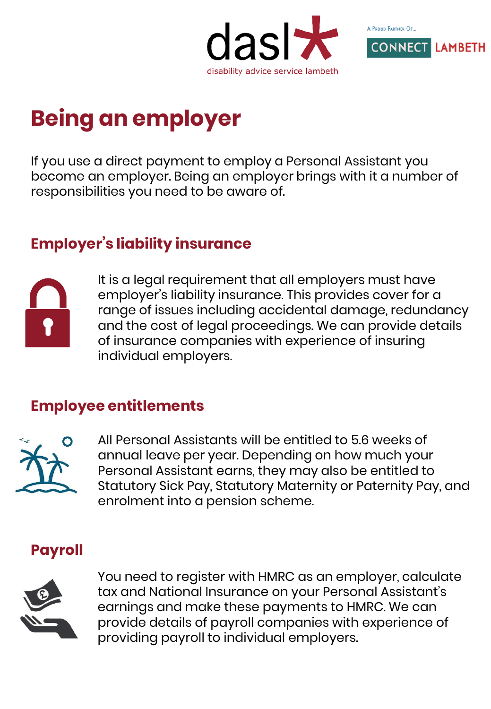



# **Being an employer**

If you use a direct payment to employ a Personal Assistant you become an employer. Being an employer brings with it a number of responsibilities you need to be aware of.

# **Employer's liability insurance**



It is a legal requirement that all employers must have employer's liability insurance. This provides cover for a range of issues including accidental damage, redundancy and the cost of legal proceedings. We can provide details of insurance companies with experience of insuring individual employers.

## **Employee entitlements**



All Personal Assistants will be entitled to 5.6 weeks of annual leave per year. Depending on how much your Personal Assistant earns, they may also be entitled to Statutory Sick Pay, Statutory Maternity or Paternity Pay, and enrolment into a pension scheme.

# **Payroll**



You need to register with HMRC as an employer, calculate tax and National Insurance on your Personal Assistant's earnings and make these payments to HMRC. We can provide details of payroll companies with experience of providing payroll to individual employers.